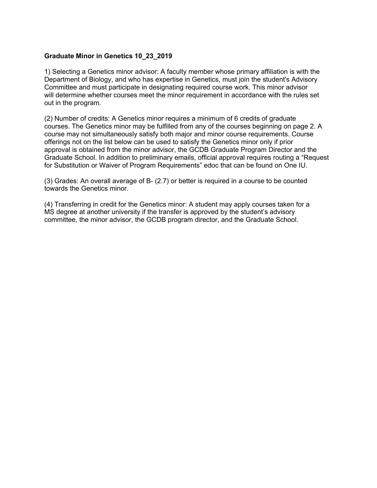## **Graduate Minor in Genetics 10\_23\_2019**

1) Selecting a Genetics minor advisor: A faculty member whose primary affiliation is with the Department of Biology, and who has expertise in Genetics, must join the student's Advisory Committee and must participate in designating required course work. This minor advisor will determine whether courses meet the minor requirement in accordance with the rules set out in the program.

(2) Number of credits: A Genetics minor requires a minimum of 6 credits of graduate courses. The Genetics minor may be fulfilled from any of the courses beginning on page 2. A course may not simultaneously satisfy both major and minor course requirements. Course offerings not on the list below can be used to satisfy the Genetics minor only if prior approval is obtained from the minor advisor, the GCDB Graduate Program Director and the Graduate School. In addition to preliminary emails, official approval requires routing a "Request for Substitution or Waiver of Program Requirements" edoc that can be found on One IU.

(3) Grades: An overall average of B- (2.7) or better is required in a course to be counted towards the Genetics minor.

(4) Transferring in credit for the Genetics minor: A student may apply courses taken for a MS degree at another university if the transfer is approved by the student's advisory committee, the minor advisor, the GCDB program director, and the Graduate School.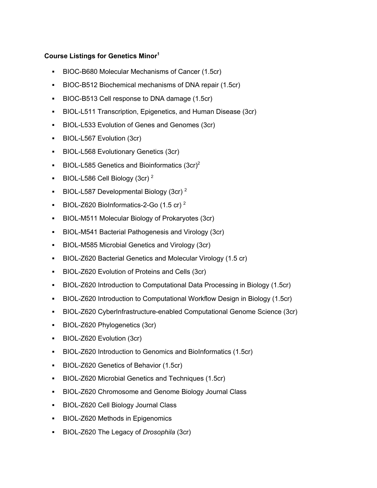## **Course Listings for Genetics Minor1**

- § BIOC-B680 Molecular Mechanisms of Cancer (1.5cr)
- **BIOC-B512 Biochemical mechanisms of DNA repair (1.5cr)**
- § BIOC-B513 Cell response to DNA damage (1.5cr)
- **BIOL-L511 Transcription, Epigenetics, and Human Disease (3cr)**
- § BIOL-L533 Evolution of Genes and Genomes (3cr)
- § BIOL-L567 Evolution (3cr)
- § BIOL-L568 Evolutionary Genetics (3cr)
- **BIOL-L585 Genetics and Bioinformatics**  $(3cr)^2$
- **BIOL-L586 Cell Biology (3cr)**  $^2$
- **BIOL-L587 Developmental Biology (3cr)**  $^2$
- **BIOL-Z620 BioInformatics-2-Go (1.5 cr)**  $^2$
- BIOL-M511 Molecular Biology of Prokaryotes (3cr)
- § BIOL-M541 Bacterial Pathogenesis and Virology (3cr)
- BIOL-M585 Microbial Genetics and Virology (3cr)
- BIOL-Z620 Bacterial Genetics and Molecular Virology (1.5 cr)
- § BIOL-Z620 Evolution of Proteins and Cells (3cr)
- § BIOL-Z620 Introduction to Computational Data Processing in Biology (1.5cr)
- § BIOL-Z620 Introduction to Computational Workflow Design in Biology (1.5cr)
- § BIOL-Z620 CyberInfrastructure-enabled Computational Genome Science (3cr)
- § BIOL-Z620 Phylogenetics (3cr)
- § BIOL-Z620 Evolution (3cr)
- § BIOL-Z620 Introduction to Genomics and BioInformatics (1.5cr)
- BIOL-Z620 Genetics of Behavior (1.5cr)
- **BIOL-Z620 Microbial Genetics and Techniques (1.5cr)**
- BIOL-Z620 Chromosome and Genome Biology Journal Class
- BIOL-Z620 Cell Biology Journal Class
- BIOL-Z620 Methods in Epigenomics
- § BIOL-Z620 The Legacy of *Drosophila* (3cr)